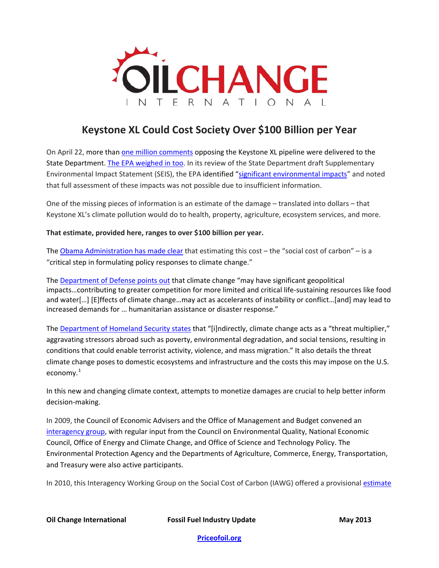

# **Keystone XL Could Cost Society Over \$100 Billion per Year**

On April 22, more than [one million comments](http://priceofoil.org/2013/04/22/1-million-comments-to-stop-the-keystonexl-pipeline/) opposing the Keystone XL pipeline were delivered to the State Department. [The EPA weighed in too.](http://insideclimatenews.org/news/20130423/epa-deems-keystone-review-insufficient-green-groups-hint-lawsuit) In its review of the State Department draft Supplementary Environmental Impact Statement (SEIS), the EPA identified ["significant environmental impacts"](http://epa.gov/compliance/nepa/keystone-xl-project-epa-comment-letter-20130056.pdf) and noted that full assessment of these impacts was not possible due to insufficient information.

One of the missing pieces of information is an estimate of the damage – translated into dollars – that Keystone XL's climate pollution would do to health, property, agriculture, ecosystem services, and more.

### **That estimate, provided here, ranges to over \$100 billion per year.**

The [Obama Administration](http://www.whitehouse.gov/sites/default/files/docs/erp2013/full_2013_economic_report_of_the_president.pdf) has made clear that estimating this cost  $-$  the "social cost of carbon"  $-$  is a "critical step in formulating policy responses to climate change."

The [Department of Defense points out](http://www.acq.osd.mil/ie/download/green_energy/dod_sustainability/2012/Appendix%20A%20-%20DoD%20Climate%20Change%20Adaption%20Roadmap_20120918.pdf) that climate change "may have significant geopolitical impacts…contributing to greater competition for more limited and critical life-sustaining resources like food and water[…] [E]ffects of climate change…may act as accelerants of instability or conflict…[and] may lead to increased demands for … humanitarian assistance or disaster response."

The [Department of Homeland Security states](http://www.dhs.gov/sites/default/files/publications/Appendix%20A%20DHS%20FY2012%20Climate%20Change%20Adaptation%20Plan_0.pdf) that "[i]ndirectly, climate change acts as a "threat multiplier," aggravating stressors abroad such as poverty, environmental degradation, and social tensions, resulting in conditions that could enable terrorist activity, violence, and mass migration." It also details the threat climate change poses to domestic ecosystems and infrastructure and the costs this may impose on the U.S. economy.<sup>[1](#page-2-0)</sup>

In this new and changing climate context, attempts to monetize damages are crucial to help better inform decision-making.

In 2009, the Council of Economic Advisers and the Office of Management and Budget convened an [interagency group,](http://web.mit.edu/ceepr/www/publications/workingpapers/2011-006.pdf) with regular input from the Council on Environmental Quality, National Economic Council, Office of Energy and Climate Change, and Office of Science and Technology Policy. The Environmental Protection Agency and the Departments of Agriculture, Commerce, Energy, Transportation, and Treasury were also active participants.

In 2010, this Interagency Working Group on the Social Cost of Carbon (IAWG) offered a provisional estimate

**Oil Change International Fossil Fuel Industry Update May 2013**

**[Priceofoil.org](http://priceofoil.org/)**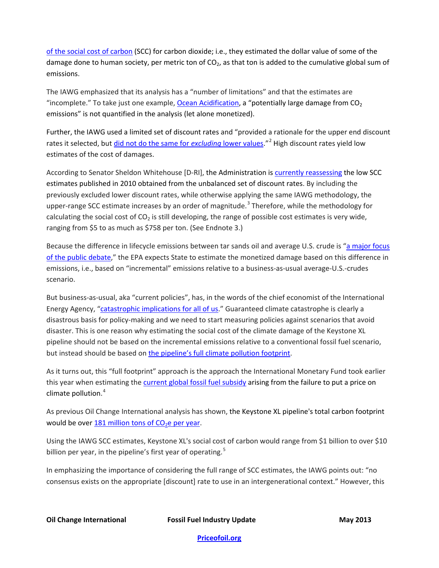of the social cost of carbon (SCC) for carbon dioxide; i.e., they estimated the dollar value of some of the damage done to human society, per metric ton of  $CO<sub>2</sub>$ , as that ton is added to the cumulative global sum of emissions.

The IAWG emphasized that its analysis has a "number of limitations" and that the estimates are "incomplete." To take just one example, [Ocean Acidification,](http://www.pmel.noaa.gov/co2/story/Ocean+Acidification) a "potentially large damage from  $CO<sub>2</sub>$ emissions" is not quantified in the analysis (let alone monetized).

Further, the IAWG used a limited set of discount rates and "provided a rationale for the upper end discount rates it selected, but [did not do the same for](http://link.springer.com/article/10.1007/s13412-012-0087-7) *excluding* lower values."[2](#page-3-0) High discount rates yield low estimates of the cost of damages.

According to Senator Sheldon Whitehouse [D-RI], the Administration is [currently reassessing](http://blog.thephoenix.com/BLOGS/notfornothing/archive/2013/03/25/sheldon-whitehouse-on-the-carbon-tax.aspx) the low SCC estimates published in 2010 obtained from the unbalanced set of discount rates. By including the previously excluded lower discount rates, while otherwise applying the same IAWG methodology, the upper-range SCC estimate increases by an order of magnitude.<sup>[3](#page-3-1)</sup> Therefore, while the methodology for calculating the social cost of  $CO<sub>2</sub>$  is still developing, the range of possible cost estimates is very wide, ranging from \$5 to as much as \$758 per ton. (See Endnote 3.)

Because the difference in lifecycle emissions between tar sands oil and average U.S. crude is ["a major focus](http://epa.gov/compliance/nepa/keystone-xl-project-epa-comment-letter-20130056.pdf)  [of the public debate,](http://epa.gov/compliance/nepa/keystone-xl-project-epa-comment-letter-20130056.pdf)" the EPA expects State to estimate the monetized damage based on this difference in emissions, i.e., based on "incremental" emissions relative to a business-as-usual average-U.S.-crudes scenario.

But business-as-usual, aka "current policies", has, in the words of the chief economist of the International Energy Agency, ["catastrophic implications for all of us.](http://www.bloomberg.com/video/79801626--catastrophic-implications-of-climate-policy.html)" Guaranteed climate catastrophe is clearly a disastrous basis for policy-making and we need to start measuring policies against scenarios that avoid disaster. This is one reason why estimating the social cost of the climate damage of the Keystone XL pipeline should not be based on the incremental emissions relative to a conventional fossil fuel scenario, but instead should be based on [the pipeline's full climate pollution footprint.](http://priceofoil.org/2013/04/16/cooking-the-books-the-true-climate-impact-of-keystone-xl/)

As it turns out, this "full footprint" approach is the approach the International Monetary Fund took earlier this year when estimating the [current global fossil fuel subsidy](http://www.imf.org/external/np/pp/eng/2013/012813.pdf) arising from the failure to put a price on climate pollution. [4](#page-3-2)

As previous Oil Change International analysis has shown, the Keystone XL pipeline's total carbon footprint would be over 181 million tons of  $CO<sub>2</sub>e$  per year.

Using the IAWG SCC estimates, Keystone XL's social cost of carbon would range from \$1 billion to over \$10 billion per year, in the pipeline's first year of operating.<sup>[5](#page-3-3)</sup>

In emphasizing the importance of considering the full range of SCC estimates, the IAWG points out: "no consensus exists on the appropriate [discount] rate to use in an intergenerational context." However, this

**Oil Change International Fossil Fuel Industry Update May 2013**

**[Priceofoil.org](http://priceofoil.org/)**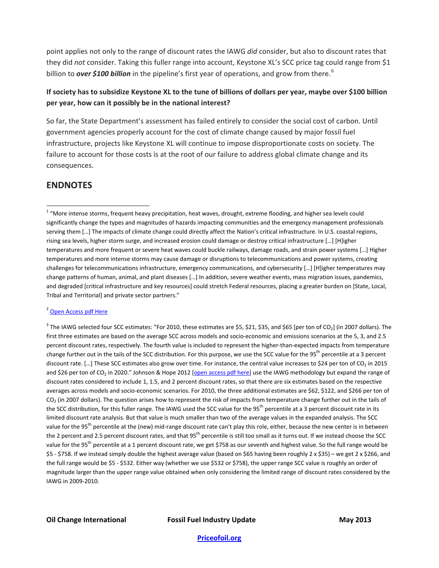point applies not only to the range of discount rates the IAWG *did* consider, but also to discount rates that they did *not* consider. Taking this fuller range into account, Keystone XL's SCC price tag could range from \$1 billion to *over \$100 billion* in the pipeline's first year of operations, and grow from there.<sup>[6](#page-3-4)</sup>

### **If society has to subsidize Keystone XL to the tune of billions of dollars per year, maybe over \$100 billion per year, how can it possibly be in the national interest?**

So far, the State Department's assessment has failed entirely to consider the social cost of carbon. Until government agencies properly account for the cost of climate change caused by major fossil fuel infrastructure, projects like Keystone XL will continue to impose disproportionate costs on society. The failure to account for those costs is at the root of our failure to address global climate change and its consequences.

## **ENDNOTES**

### <sup>2</sup> Open [Access pdf Here](http://www.eenews.net/assets/2012/09/17/document_gw_05.pdf)

 $3$  The IAWG selected four SCC estimates: "For 2010, these estimates are \$5, \$21, \$35, and \$65 [per ton of CO<sub>2</sub>] (in 2007 dollars). The first three estimates are based on the average SCC across models and socio-economic and emissions scenarios at the 5, 3, and 2.5 percent discount rates, respectively. The fourth value is included to represent the higher-than-expected impacts from temperature change further out in the tails of the SCC distribution. For this purpose, we use the SCC value for the 95<sup>th</sup> percentile at a 3 percent discount rate. [...] These SCC estimates also grow over time. For instance, the central value increases to \$24 per ton of CO<sub>2</sub> in 2015 and \$26 per ton of CO<sub>2</sub> in 2020." Johnson & Hope 2012 [\[open access pdf here\]](http://www.eenews.net/assets/2012/09/17/document_gw_05.pdf) use the IAWG methodology but expand the range of discount rates considered to include 1, 1.5, and 2 percent discount rates, so that there are six estimates based on the respective averages across models and socio-economic scenarios. For 2010, the three additional estimates are \$62, \$122, and \$266 per ton of  $CO<sub>2</sub>$  (in 2007 dollars). The question arises how to represent the risk of impacts from temperature change further out in the tails of the SCC distribution, for this fuller range. The IAWG used the SCC value for the 95<sup>th</sup> percentile at a 3 percent discount rate in its limited discount rate analysis. But that value is much smaller than two of the average values in the expanded analysis. The SCC value for the 95<sup>th</sup> percentile at the (new) mid-range discount rate can't play this role, either, because the new center is in between the 2 percent and 2.5 percent discount rates, and that 95<sup>th</sup> percentile is still too small as it turns out. If we instead choose the SCC value for the 95<sup>th</sup> percentile at a 1 percent discount rate, we get \$758 as our seventh and highest value. So the full range would be \$5 - \$758. If we instead simply double the highest average value (based on \$65 having been roughly 2 x \$35) – we get 2 x \$266, and the full range would be \$5 - \$532. Either way (whether we use \$532 or \$758), the upper range SCC value is roughly an order of magnitude larger than the upper range value obtained when only considering the limited range of discount rates considered by the IAWG in 2009-2010.

### **Oil Change International Fossil Fuel Industry Update May 2013**

<span id="page-2-0"></span> $1$  "More intense storms, frequent heavy precipitation, heat waves, drought, extreme flooding, and higher sea levels could significantly change the types and magnitudes of hazards impacting communities and the emergency management professionals serving them […] The impacts of climate change could directly affect the Nation's critical infrastructure. In U.S. coastal regions, rising sea levels, higher storm surge, and increased erosion could damage or destroy critical infrastructure […] [H]igher temperatures and more frequent or severe heat waves could buckle railways, damage roads, and strain power systems […] Higher temperatures and more intense storms may cause damage or disruptions to telecommunications and power systems, creating challenges for telecommunications infrastructure, emergency communications, and cybersecurity […] [H]igher temperatures may change patterns of human, animal, and plant diseases […] In addition, severe weather events, mass migration issues, pandemics, and degraded [critical infrastructure and key resources] could stretch Federal resources, placing a greater burden on [State, Local, Tribal and Territorial] and private sector partners."